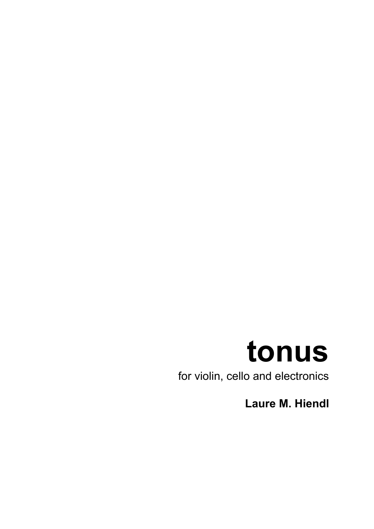

for violin, cello and electronics

**Laure M. Hiendl**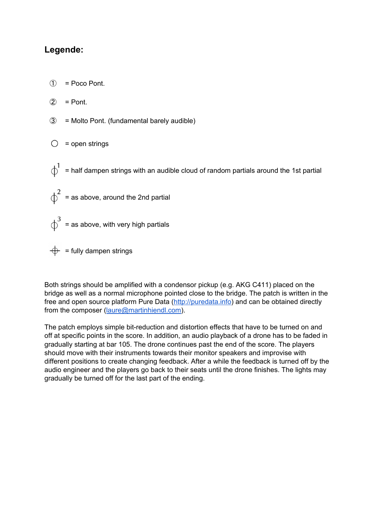## **Legende:**

- $(1)$  = Poco Pont.
- ② = Pont.
- ③ = Molto Pont. (fundamental barely audible)
- $\bigcirc$  = open strings
- $\bigcirc^1$  = half dampen strings with an audible cloud of random partials around the 1st partial
- $\oint^2$  = as above, around the 2nd partial
- $\bigcirc^3$  = as above, with very high partials
- $\bigoplus$  = fully dampen strings

Both strings should be amplified with a condensor pickup (e.g. AKG C411) placed on the bridge as well as a normal microphone pointed close to the bridge. The patch is written in the free and open source platform Pure Data [\(http://puredata.info\)](http://puredata.info/) and can be obtained directly from the composer ([laure@martinhiendl.com\)](mailto:laure@martinhiendl.com).

The patch employs simple bit-reduction and distortion effects that have to be turned on and off at specific points in the score. In addition, an audio playback of a drone has to be faded in gradually starting at bar 105. The drone continues past the end of the score. The players should move with their instruments towards their monitor speakers and improvise with different positions to create changing feedback. After a while the feedback is turned off by the audio engineer and the players go back to their seats until the drone finishes. The lights may gradually be turned off for the last part of the ending.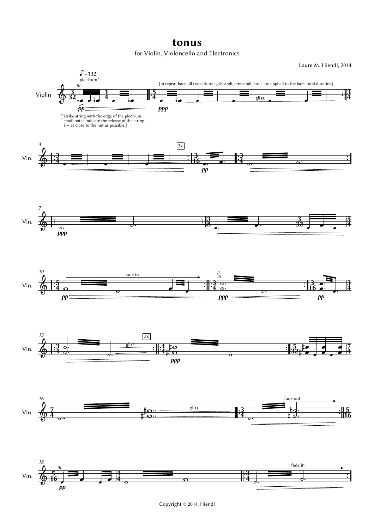tonus

for Violin, Violoncello and Electronics



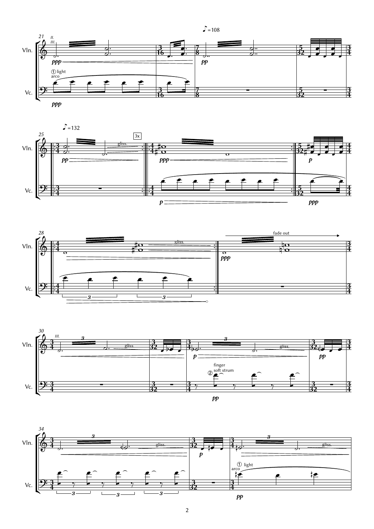







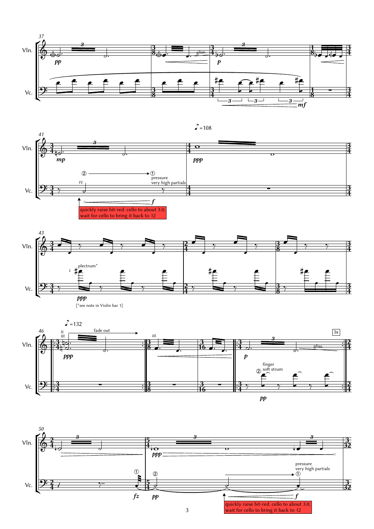









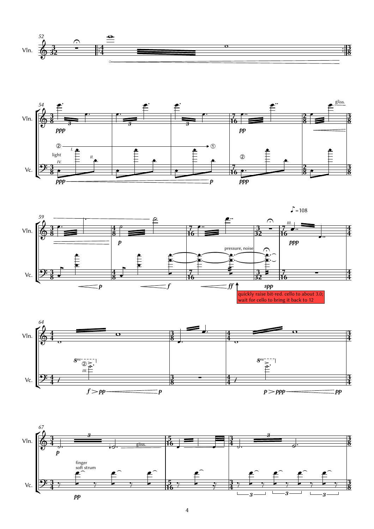







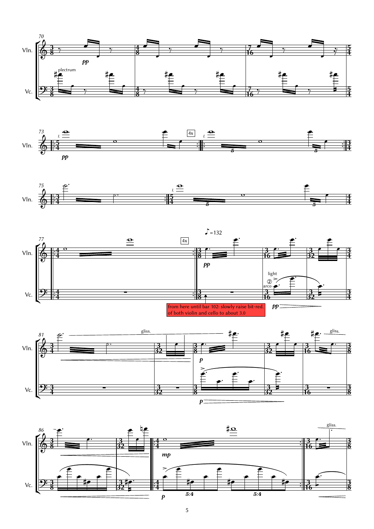









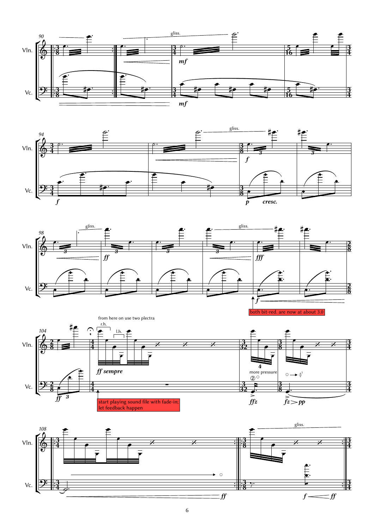





both bit-red. are now at about 3.0



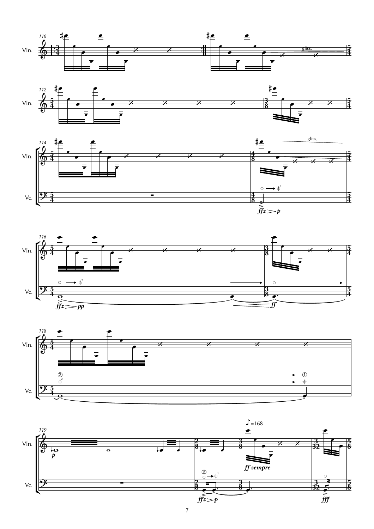









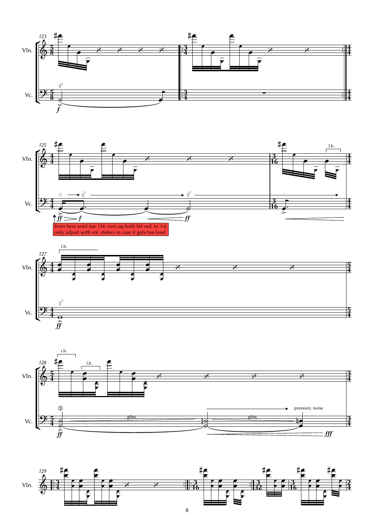